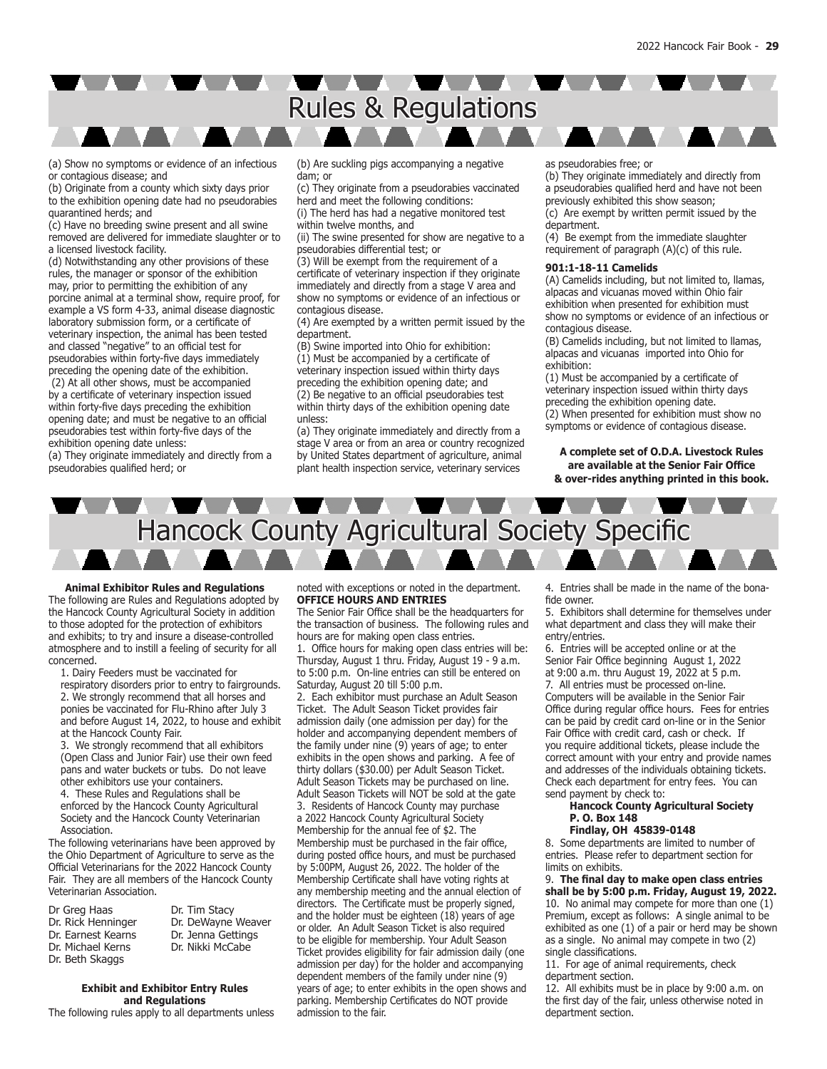# A A A A A A A A A J Rules & Regulations

(a) Show no symptoms or evidence of an infectious or contagious disease; and

(b) Originate from a county which sixty days prior to the exhibition opening date had no pseudorabies quarantined herds; and

(c) Have no breeding swine present and all swine removed are delivered for immediate slaughter or to a licensed livestock facility.

(d) Notwithstanding any other provisions of these rules, the manager or sponsor of the exhibition may, prior to permitting the exhibition of any porcine animal at a terminal show, require proof, for example a VS form 4-33, animal disease diagnostic laboratory submission form, or a certificate of veterinary inspection, the animal has been tested and classed "negative" to an official test for pseudorabies within forty-five days immediately preceding the opening date of the exhibition.

 (2) At all other shows, must be accompanied by a certificate of veterinary inspection issued within forty-five days preceding the exhibition opening date; and must be negative to an official pseudorabies test within forty-five days of the exhibition opening date unless:

(a) They originate immediately and directly from a pseudorabies qualified herd; or

(b) Are suckling pigs accompanying a negative dam; or

(c) They originate from a pseudorabies vaccinated herd and meet the following conditions:

(i) The herd has had a negative monitored test within twelve months, and

(ii) The swine presented for show are negative to a pseudorabies differential test; or

(3) Will be exempt from the requirement of a certificate of veterinary inspection if they originate immediately and directly from a stage V area and show no symptoms or evidence of an infectious or contagious disease.

(4) Are exempted by a written permit issued by the department.

(B) Swine imported into Ohio for exhibition: (1) Must be accompanied by a certificate of veterinary inspection issued within thirty days preceding the exhibition opening date; and (2) Be negative to an official pseudorabies test within thirty days of the exhibition opening date unless:

(a) They originate immediately and directly from a stage V area or from an area or country recognized by United States department of agriculture, animal plant health inspection service, veterinary services

as pseudorabies free; or

(b) They originate immediately and directly from a pseudorabies qualified herd and have not been previously exhibited this show season; (c) Are exempt by written permit issued by the department.

(4) Be exempt from the immediate slaughter requirement of paragraph (A)(c) of this rule.

## **901:1-18-11 Camelids**

(A) Camelids including, but not limited to, llamas, alpacas and vicuanas moved within Ohio fair exhibition when presented for exhibition must show no symptoms or evidence of an infectious or contagious disease.

(B) Camelids including, but not limited to llamas, alpacas and vicuanas imported into Ohio for exhibition:

(1) Must be accompanied by a certificate of veterinary inspection issued within thirty days preceding the exhibition opening date. (2) When presented for exhibition must show no

symptoms or evidence of contagious disease.

**A complete set of O.D.A. Livestock Rules are available at the Senior Fair Office & over-rides anything printed in this book.**



#### **Animal Exhibitor Rules and Regulations**

The following are Rules and Regulations adopted by the Hancock County Agricultural Society in addition to those adopted for the protection of exhibitors and exhibits; to try and insure a disease-controlled atmosphere and to instill a feeling of security for all concerned.

1. Dairy Feeders must be vaccinated for respiratory disorders prior to entry to fairgrounds. 2. We strongly recommend that all horses and ponies be vaccinated for Flu-Rhino after July 3

and before August 14, 2022, to house and exhibit at the Hancock County Fair. 3. We strongly recommend that all exhibitors

(Open Class and Junior Fair) use their own feed pans and water buckets or tubs. Do not leave other exhibitors use your containers.

4. These Rules and Regulations shall be enforced by the Hancock County Agricultural Society and the Hancock County Veterinarian Association.

The following veterinarians have been approved by the Ohio Department of Agriculture to serve as the Official Veterinarians for the 2022 Hancock County Fair. They are all members of the Hancock County Veterinarian Association.

| Dr Greg Haas       | Dr. Tim Stacy      |
|--------------------|--------------------|
| Dr. Rick Henninger | Dr. DeWayne Weaver |
| Dr. Earnest Kearns | Dr. Jenna Gettings |
| Dr. Michael Kerns  | Dr. Nikki McCabe   |
| Dr. Beth Skaggs    |                    |

**Exhibit and Exhibitor Entry Rules and Regulations**

The following rules apply to all departments unless

noted with exceptions or noted in the department. **OFFICE HOURS AND ENTRIES**

The Senior Fair Office shall be the headquarters for the transaction of business. The following rules and hours are for making open class entries.

1. Office hours for making open class entries will be: Thursday, August 1 thru. Friday, August 19 - 9 a.m. to 5:00 p.m. On-line entries can still be entered on Saturday, August 20 till 5:00 p.m.

2. Each exhibitor must purchase an Adult Season Ticket. The Adult Season Ticket provides fair admission daily (one admission per day) for the holder and accompanying dependent members of the family under nine (9) years of age; to enter exhibits in the open shows and parking. A fee of thirty dollars (\$30.00) per Adult Season Ticket. Adult Season Tickets may be purchased on line. Adult Season Tickets will NOT be sold at the gate 3. Residents of Hancock County may purchase a 2022 Hancock County Agricultural Society Membership for the annual fee of \$2. The Membership must be purchased in the fair office, during posted office hours, and must be purchased by 5:00PM, August 26, 2022. The holder of the Membership Certificate shall have voting rights at any membership meeting and the annual election of directors. The Certificate must be properly signed, and the holder must be eighteen (18) years of age or older. An Adult Season Ticket is also required to be eligible for membership. Your Adult Season Ticket provides eligibility for fair admission daily (one admission per day) for the holder and accompanying dependent members of the family under nine (9) years of age; to enter exhibits in the open shows and parking. Membership Certificates do NOT provide admission to the fair.

4. Entries shall be made in the name of the bonafide owner.

5. Exhibitors shall determine for themselves under what department and class they will make their entry/entries.

6. Entries will be accepted online or at the Senior Fair Office beginning August 1, 2022 at 9:00 a.m. thru August 19, 2022 at 5 p.m. 7. All entries must be processed on-line. Computers will be available in the Senior Fair Office during regular office hours. Fees for entries can be paid by credit card on-line or in the Senior Fair Office with credit card, cash or check. If you require additional tickets, please include the correct amount with your entry and provide names and addresses of the individuals obtaining tickets. Check each department for entry fees. You can send payment by check to:

## **Hancock County Agricultural Society P. O. Box 148**

**Findlay, OH 45839-0148**

8. Some departments are limited to number of entries. Please refer to department section for limits on exhibits.

9. **The final day to make open class entries shall be by 5:00 p.m. Friday, August 19, 2022.** 10. No animal may compete for more than one (1) Premium, except as follows: A single animal to be exhibited as one (1) of a pair or herd may be shown as a single. No animal may compete in two (2) single classifications.

11. For age of animal requirements, check department section.

12. All exhibits must be in place by 9:00 a.m. on the first day of the fair, unless otherwise noted in department section.